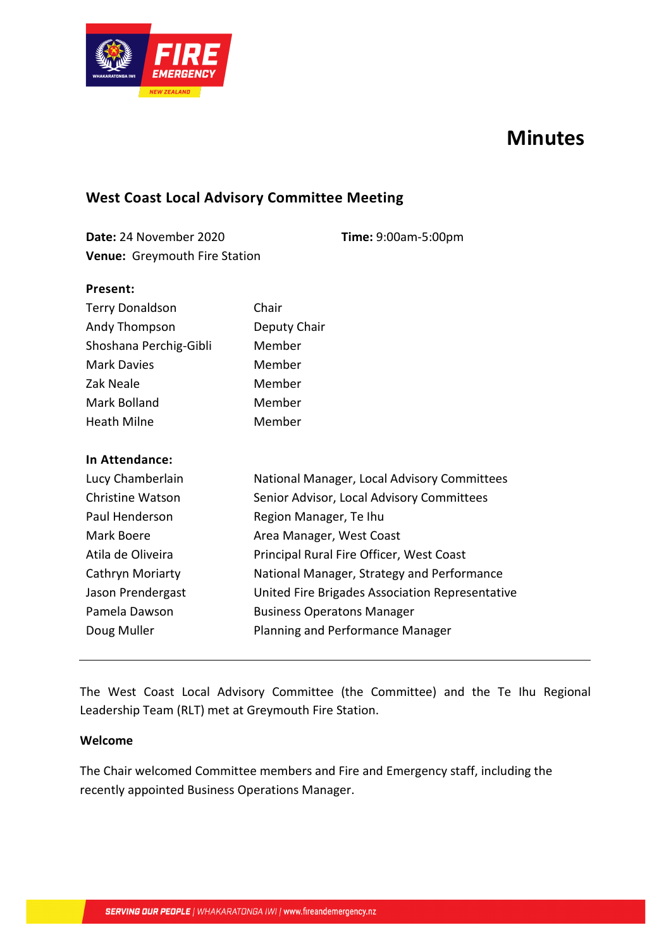

# **Minutes**

# **West Coast Local Advisory Committee Meeting**

**Date:** 24 November 2020 **Time:** 9:00am-5:00pm **Venue:** Greymouth Fire Station

#### **Present:**

| <b>Terry Donaldson</b> | Chair        |
|------------------------|--------------|
| Andy Thompson          | Deputy Chair |
| Shoshana Perchig-Gibli | Member       |
| <b>Mark Davies</b>     | Member       |
| Zak Neale              | Member       |
| Mark Bolland           | Member       |
| <b>Heath Milne</b>     | Member       |

#### **In Attendance:**

| Lucy Chamberlain        | National Manager, Local Advisory Committees     |
|-------------------------|-------------------------------------------------|
| <b>Christine Watson</b> | Senior Advisor, Local Advisory Committees       |
| Paul Henderson          | Region Manager, Te Ihu                          |
| Mark Boere              | Area Manager, West Coast                        |
| Atila de Oliveira       | Principal Rural Fire Officer, West Coast        |
| Cathryn Moriarty        | National Manager, Strategy and Performance      |
| Jason Prendergast       | United Fire Brigades Association Representative |
| Pamela Dawson           | <b>Business Operatons Manager</b>               |
| Doug Muller             | Planning and Performance Manager                |

The West Coast Local Advisory Committee (the Committee) and the Te Ihu Regional Leadership Team (RLT) met at Greymouth Fire Station.

#### **Welcome**

The Chair welcomed Committee members and Fire and Emergency staff, including the recently appointed Business Operations Manager.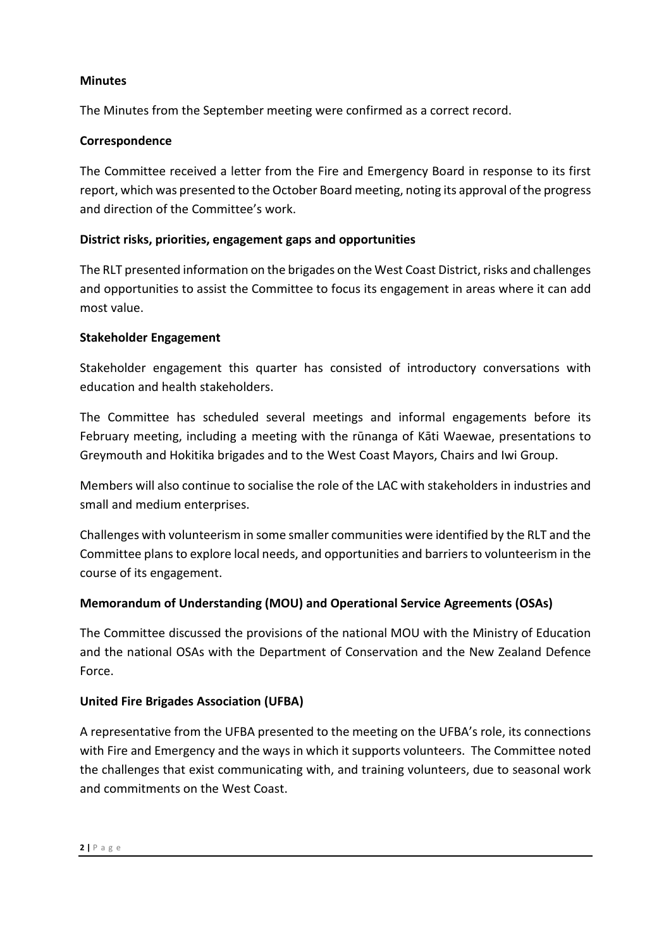### **Minutes**

The Minutes from the September meeting were confirmed as a correct record.

# **Correspondence**

The Committee received a letter from the Fire and Emergency Board in response to its first report, which was presented to the October Board meeting, noting its approval ofthe progress and direction of the Committee's work.

# **District risks, priorities, engagement gaps and opportunities**

The RLT presented information on the brigades on the West Coast District, risks and challenges and opportunities to assist the Committee to focus its engagement in areas where it can add most value.

## **Stakeholder Engagement**

Stakeholder engagement this quarter has consisted of introductory conversations with education and health stakeholders.

The Committee has scheduled several meetings and informal engagements before its February meeting, including a meeting with the rūnanga of Kāti Waewae, presentations to Greymouth and Hokitika brigades and to the West Coast Mayors, Chairs and Iwi Group.

Members will also continue to socialise the role of the LAC with stakeholders in industries and small and medium enterprises.

Challenges with volunteerism in some smaller communities were identified by the RLT and the Committee plansto explore local needs, and opportunities and barriers to volunteerism in the course of its engagement.

# **Memorandum of Understanding (MOU) and Operational Service Agreements (OSAs)**

The Committee discussed the provisions of the national MOU with the Ministry of Education and the national OSAs with the Department of Conservation and the New Zealand Defence Force.

## **United Fire Brigades Association (UFBA)**

A representative from the UFBA presented to the meeting on the UFBA's role, its connections with Fire and Emergency and the ways in which it supports volunteers. The Committee noted the challenges that exist communicating with, and training volunteers, due to seasonal work and commitments on the West Coast.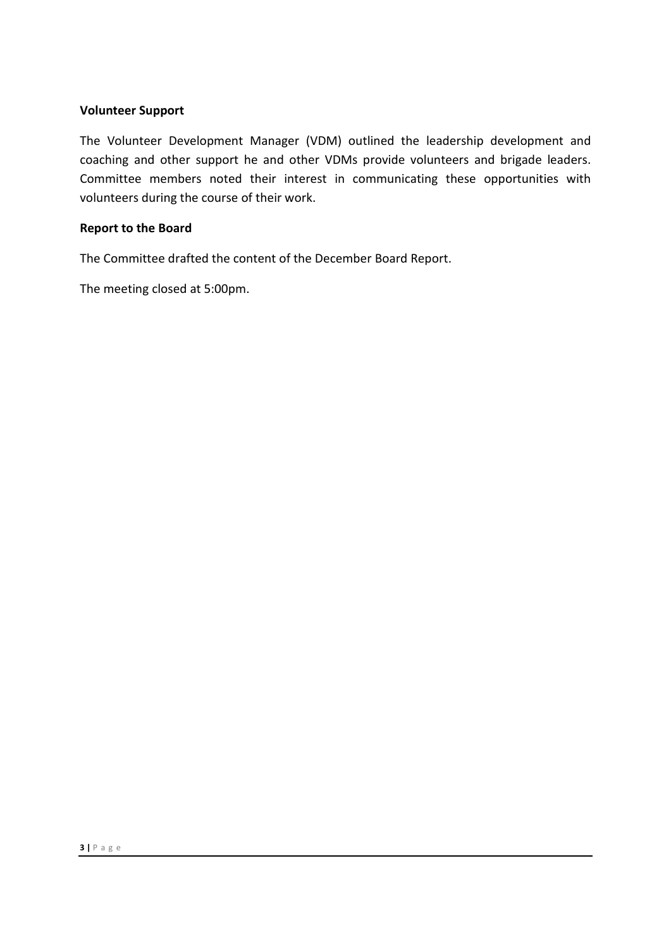#### **Volunteer Support**

The Volunteer Development Manager (VDM) outlined the leadership development and coaching and other support he and other VDMs provide volunteers and brigade leaders. Committee members noted their interest in communicating these opportunities with volunteers during the course of their work.

#### **Report to the Board**

The Committee drafted the content of the December Board Report.

The meeting closed at 5:00pm.